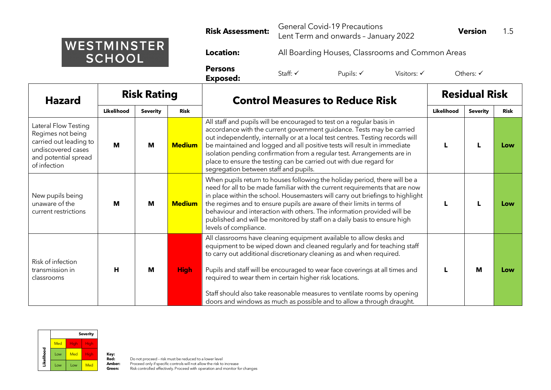|                                     | <b>Risk Assessment:</b>           | <b>General Covid-19 Precautions</b><br>Lent Term and onwards - January 2022 |                      |                        | <b>Version</b>       |  |  |
|-------------------------------------|-----------------------------------|-----------------------------------------------------------------------------|----------------------|------------------------|----------------------|--|--|
| <b>WESTMINSTER</b><br><b>SCHOOL</b> | <b>Location:</b>                  | All Boarding Houses, Classrooms and Common Areas                            |                      |                        |                      |  |  |
|                                     | <b>Persons</b><br><b>Exposed:</b> | Staff: √                                                                    | Pupils: $\checkmark$ | Visitors: $\checkmark$ | Others: $\checkmark$ |  |  |

| <b>Hazard</b>                                                                                                                     | <b>Risk Rating</b>                                                                                                                                                                                                                                                                                                                                                                                                                                                                                                                             |                                                                                                                                                                                                                                                                                                                                                                                                                                                                                                                             |               | <b>Control Measures to Reduce Risk</b>                                                                                                                                                                                                                                                                                                                                                                                                                                                                 | <b>Residual Risk</b> |                 |             |
|-----------------------------------------------------------------------------------------------------------------------------------|------------------------------------------------------------------------------------------------------------------------------------------------------------------------------------------------------------------------------------------------------------------------------------------------------------------------------------------------------------------------------------------------------------------------------------------------------------------------------------------------------------------------------------------------|-----------------------------------------------------------------------------------------------------------------------------------------------------------------------------------------------------------------------------------------------------------------------------------------------------------------------------------------------------------------------------------------------------------------------------------------------------------------------------------------------------------------------------|---------------|--------------------------------------------------------------------------------------------------------------------------------------------------------------------------------------------------------------------------------------------------------------------------------------------------------------------------------------------------------------------------------------------------------------------------------------------------------------------------------------------------------|----------------------|-----------------|-------------|
|                                                                                                                                   | Likelihood<br>Risk<br><b>Severity</b>                                                                                                                                                                                                                                                                                                                                                                                                                                                                                                          |                                                                                                                                                                                                                                                                                                                                                                                                                                                                                                                             |               |                                                                                                                                                                                                                                                                                                                                                                                                                                                                                                        |                      | <b>Severity</b> | <b>Risk</b> |
| Lateral Flow Testing<br>Regimes not being<br>carried out leading to<br>undiscovered cases<br>and potential spread<br>of infection | М                                                                                                                                                                                                                                                                                                                                                                                                                                                                                                                                              | M                                                                                                                                                                                                                                                                                                                                                                                                                                                                                                                           | <b>Medium</b> | All staff and pupils will be encouraged to test on a regular basis in<br>accordance with the current government guidance. Tests may be carried<br>out independently, internally or at a local test centres. Testing records will<br>be maintained and logged and all positive tests will result in immediate<br>isolation pending confirmation from a regular test. Arrangements are in<br>place to ensure the testing can be carried out with due regard for<br>segregation between staff and pupils. |                      |                 | Low         |
| New pupils being<br>unaware of the<br>current restrictions                                                                        | M                                                                                                                                                                                                                                                                                                                                                                                                                                                                                                                                              | When pupils return to houses following the holiday period, there will be a<br>need for all to be made familiar with the current requirements that are now<br>in place within the school. Housemasters will carry out briefings to highlight<br>the regimes and to ensure pupils are aware of their limits in terms of<br><b>Medium</b><br>M<br>behaviour and interaction with others. The information provided will be<br>published and will be monitored by staff on a daily basis to ensure high<br>levels of compliance. |               |                                                                                                                                                                                                                                                                                                                                                                                                                                                                                                        |                      | Low             |             |
| Risk of infection<br>transmission in<br>classrooms                                                                                | All classrooms have cleaning equipment available to allow desks and<br>equipment to be wiped down and cleaned regularly and for teaching staff<br>to carry out additional discretionary cleaning as and when required.<br>H<br>Pupils and staff will be encouraged to wear face coverings at all times and<br>М<br><b>High</b><br>required to wear them in certain higher risk locations.<br>Staff should also take reasonable measures to ventilate rooms by opening<br>doors and windows as much as possible and to allow a through draught. |                                                                                                                                                                                                                                                                                                                                                                                                                                                                                                                             |               | M                                                                                                                                                                                                                                                                                                                                                                                                                                                                                                      | Low                  |                 |             |



**Red:** Do not proceed - risk must be reduced to a lower level<br>**Amber:** Proceed only if specific controls will not allow the risk to increase<br>**Green:** Risk controlled effectively. Proceed with operation and monitor for chan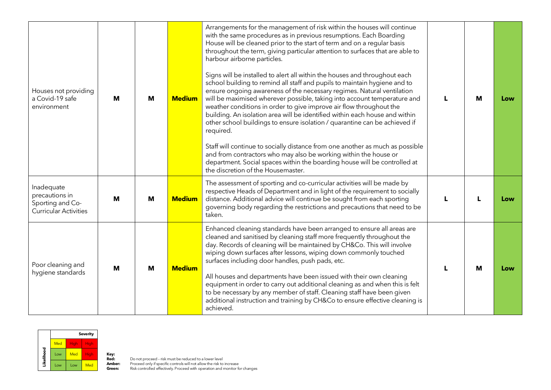| Houses not providing<br>a Covid-19 safe<br>environment                           | M | M | Arrangements for the management of risk within the houses will continue<br>with the same procedures as in previous resumptions. Each Boarding<br>House will be cleaned prior to the start of term and on a regular basis<br>throughout the term, giving particular attention to surfaces that are able to<br>harbour airborne particles.<br>Signs will be installed to alert all within the houses and throughout each<br>school building to remind all staff and pupils to maintain hygiene and to<br>ensure ongoing awareness of the necessary regimes. Natural ventilation<br>will be maximised wherever possible, taking into account temperature and<br><b>Medium</b><br>weather conditions in order to give improve air flow throughout the<br>building. An isolation area will be identified within each house and within<br>other school buildings to ensure isolation / quarantine can be achieved if<br>required.<br>Staff will continue to socially distance from one another as much as possible<br>and from contractors who may also be working within the house or<br>department. Social spaces within the boarding house will be controlled at<br>the discretion of the Housemaster. |                                                                                                                                                                                                                                                                                                                                                                                                                                                                                                                                                                                                                                                                                   | L | M | Low |
|----------------------------------------------------------------------------------|---|---|-----------------------------------------------------------------------------------------------------------------------------------------------------------------------------------------------------------------------------------------------------------------------------------------------------------------------------------------------------------------------------------------------------------------------------------------------------------------------------------------------------------------------------------------------------------------------------------------------------------------------------------------------------------------------------------------------------------------------------------------------------------------------------------------------------------------------------------------------------------------------------------------------------------------------------------------------------------------------------------------------------------------------------------------------------------------------------------------------------------------------------------------------------------------------------------------------------|-----------------------------------------------------------------------------------------------------------------------------------------------------------------------------------------------------------------------------------------------------------------------------------------------------------------------------------------------------------------------------------------------------------------------------------------------------------------------------------------------------------------------------------------------------------------------------------------------------------------------------------------------------------------------------------|---|---|-----|
| Inadequate<br>precautions in<br>Sporting and Co-<br><b>Curricular Activities</b> | М | M | <b>Medium</b>                                                                                                                                                                                                                                                                                                                                                                                                                                                                                                                                                                                                                                                                                                                                                                                                                                                                                                                                                                                                                                                                                                                                                                                       | The assessment of sporting and co-curricular activities will be made by<br>respective Heads of Department and in light of the requirement to socially<br>distance. Additional advice will continue be sought from each sporting<br>governing body regarding the restrictions and precautions that need to be<br>taken.                                                                                                                                                                                                                                                                                                                                                            |   |   | Low |
| Poor cleaning and<br>hygiene standards                                           | M | M | <b>Medium</b>                                                                                                                                                                                                                                                                                                                                                                                                                                                                                                                                                                                                                                                                                                                                                                                                                                                                                                                                                                                                                                                                                                                                                                                       | Enhanced cleaning standards have been arranged to ensure all areas are<br>cleaned and sanitised by cleaning staff more frequently throughout the<br>day. Records of cleaning will be maintained by CH&Co. This will involve<br>wiping down surfaces after lessons, wiping down commonly touched<br>surfaces including door handles, push pads, etc.<br>All houses and departments have been issued with their own cleaning<br>equipment in order to carry out additional cleaning as and when this is felt<br>to be necessary by any member of staff. Cleaning staff have been given<br>additional instruction and training by CH&Co to ensure effective cleaning is<br>achieved. |   | M | Low |

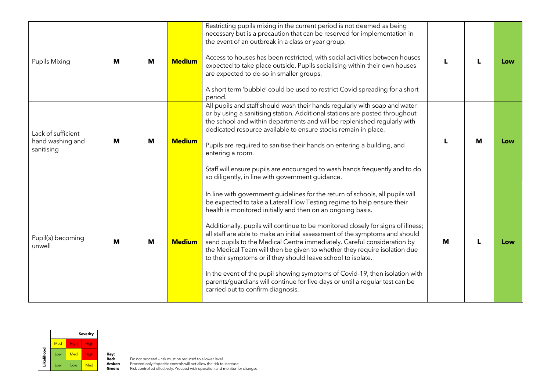| <b>Pupils Mixing</b>                                 | M<br>M |   | Restricting pupils mixing in the current period is not deemed as being<br>necessary but is a precaution that can be reserved for implementation in<br>the event of an outbreak in a class or year group.<br>Access to houses has been restricted, with social activities between houses<br><b>Medium</b><br>expected to take place outside. Pupils socialising within their own houses<br>are expected to do so in smaller groups.<br>A short term 'bubble' could be used to restrict Covid spreading for a short<br>period. |                                                                                                                                                                                                                                                                                                                                                                                                                                                                                                                                                                                                                                                                                                                                                                                                                       |  |   | Low |
|------------------------------------------------------|--------|---|------------------------------------------------------------------------------------------------------------------------------------------------------------------------------------------------------------------------------------------------------------------------------------------------------------------------------------------------------------------------------------------------------------------------------------------------------------------------------------------------------------------------------|-----------------------------------------------------------------------------------------------------------------------------------------------------------------------------------------------------------------------------------------------------------------------------------------------------------------------------------------------------------------------------------------------------------------------------------------------------------------------------------------------------------------------------------------------------------------------------------------------------------------------------------------------------------------------------------------------------------------------------------------------------------------------------------------------------------------------|--|---|-----|
| Lack of sufficient<br>hand washing and<br>sanitising | M      | M | <b>Medium</b>                                                                                                                                                                                                                                                                                                                                                                                                                                                                                                                | All pupils and staff should wash their hands regularly with soap and water<br>or by using a sanitising station. Additional stations are posted throughout<br>the school and within departments and will be replenished regularly with<br>dedicated resource available to ensure stocks remain in place.<br>Pupils are required to sanitise their hands on entering a building, and<br>entering a room.<br>Staff will ensure pupils are encouraged to wash hands frequently and to do<br>so diligently, in line with government guidance.                                                                                                                                                                                                                                                                              |  | M | Low |
| Pupil(s) becoming<br>unwell                          | M      | М | <b>Medium</b>                                                                                                                                                                                                                                                                                                                                                                                                                                                                                                                | In line with government guidelines for the return of schools, all pupils will<br>be expected to take a Lateral Flow Testing regime to help ensure their<br>health is monitored initially and then on an ongoing basis.<br>Additionally, pupils will continue to be monitored closely for signs of illness;<br>all staff are able to make an initial assessment of the symptoms and should<br>send pupils to the Medical Centre immediately. Careful consideration by<br>the Medical Team will then be given to whether they require isolation due<br>to their symptoms or if they should leave school to isolate.<br>In the event of the pupil showing symptoms of Covid-19, then isolation with<br>parents/guardians will continue for five days or until a regular test can be<br>carried out to confirm diagnosis. |  |   | Low |

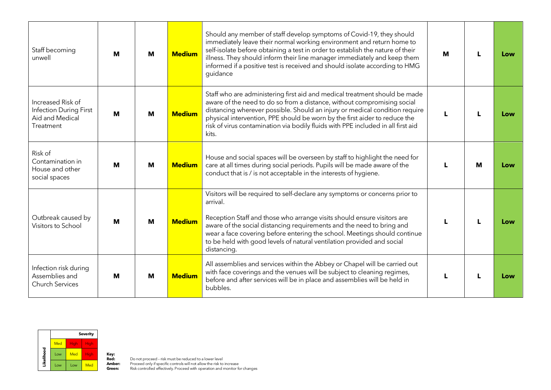| Staff becoming<br>unwell                                                    | M | M                                                                                                                                                                                                                                                                                                                                                                                                                                       | Should any member of staff develop symptoms of Covid-19, they should<br>immediately leave their normal working environment and return home to<br>self-isolate before obtaining a test in order to establish the nature of their<br><b>Medium</b><br>illness. They should inform their line manager immediately and keep them<br>informed if a positive test is received and should isolate according to HMG<br>guidance |                                                                                                                                                                                                                                                                                                                                                                                                                 | M |     | Low |
|-----------------------------------------------------------------------------|---|-----------------------------------------------------------------------------------------------------------------------------------------------------------------------------------------------------------------------------------------------------------------------------------------------------------------------------------------------------------------------------------------------------------------------------------------|-------------------------------------------------------------------------------------------------------------------------------------------------------------------------------------------------------------------------------------------------------------------------------------------------------------------------------------------------------------------------------------------------------------------------|-----------------------------------------------------------------------------------------------------------------------------------------------------------------------------------------------------------------------------------------------------------------------------------------------------------------------------------------------------------------------------------------------------------------|---|-----|-----|
| Increased Risk of<br>Infection During First<br>Aid and Medical<br>Treatment | M | М                                                                                                                                                                                                                                                                                                                                                                                                                                       | <b>Medium</b>                                                                                                                                                                                                                                                                                                                                                                                                           | Staff who are administering first aid and medical treatment should be made<br>aware of the need to do so from a distance, without compromising social<br>distancing wherever possible. Should an injury or medical condition require<br>physical intervention, PPE should be worn by the first aider to reduce the<br>risk of virus contamination via bodily fluids with PPE included in all first aid<br>kits. |   |     | Low |
| Risk of<br>Contamination in<br>House and other<br>social spaces             | M | M                                                                                                                                                                                                                                                                                                                                                                                                                                       | House and social spaces will be overseen by staff to highlight the need for<br><b>Medium</b><br>care at all times during social periods. Pupils will be made aware of the<br>conduct that is / is not acceptable in the interests of hygiene.                                                                                                                                                                           |                                                                                                                                                                                                                                                                                                                                                                                                                 |   | м   | Low |
| Outbreak caused by<br>Visitors to School                                    | M | Visitors will be required to self-declare any symptoms or concerns prior to<br>arrival.<br>Reception Staff and those who arrange visits should ensure visitors are<br><b>Medium</b><br>M<br>aware of the social distancing requirements and the need to bring and<br>wear a face covering before entering the school. Meetings should continue<br>to be held with good levels of natural ventilation provided and social<br>distancing. |                                                                                                                                                                                                                                                                                                                                                                                                                         |                                                                                                                                                                                                                                                                                                                                                                                                                 |   | Low |     |
| Infection risk during<br>Assemblies and<br><b>Church Services</b>           | M | М                                                                                                                                                                                                                                                                                                                                                                                                                                       | <b>Medium</b>                                                                                                                                                                                                                                                                                                                                                                                                           | All assemblies and services within the Abbey or Chapel will be carried out<br>with face coverings and the venues will be subject to cleaning regimes,<br>before and after services will be in place and assemblies will be held in<br>bubbles.                                                                                                                                                                  |   |     | Low |



**Red:** Do not proceed - risk must be reduced to a lower level<br>**Amber:** Proceed only if specific controls will not allow the risk to increase<br>**Green:** Risk controlled effectively. Proceed with operation and monitor for chan